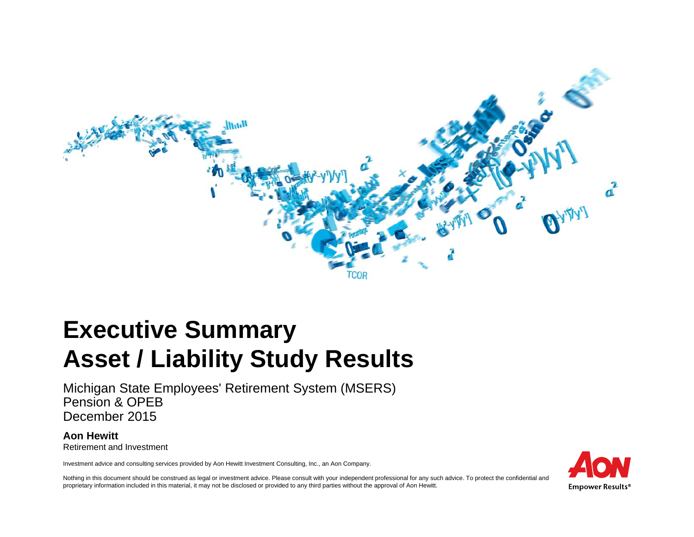

# **Executive Summary Asset / Liability Study Results**

Michigan State Employees' Retirement System (MSERS) Pension & OPEBDecember 2015

**Aon Hewitt**Retirement and Investment

Investment advice and consulting services provided by Aon Hewitt Investment Consulting, Inc., an Aon Company.



Nothing in this document should be construed as legal or investment advice. Please consult with your independent professional for any such advice. To protect the confidential and proprietary information included in this material, it may not be disclosed or provided to any third parties without the approval of Aon Hewitt.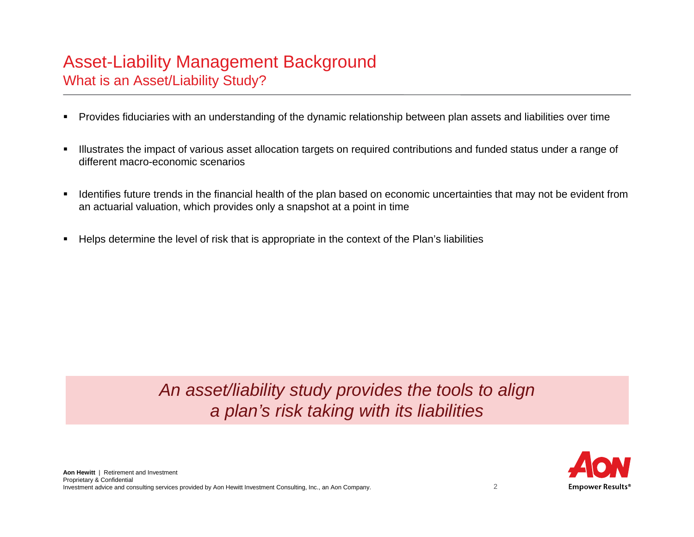## Asset-Liability Management Background

What is an Asset/Liability Study?

- Г Provides fiduciaries with an understanding of the dynamic relationship between plan assets and liabilities over time
- Illustrates the impact of various asset allocation targets on required contributions and funded status under a range of different macro-economic scenarios
- **IDED 10.13 IDED 10.13 The Francial Standard and Team** based on economic uncertainties that may not be evident from an actuarial valuation, which provides only a snapshot at a point in time
- $\blacksquare$ Helps determine the level of risk that is appropriate in the context of the Plan's liabilities

## *An asset/liability study provides the tools to align a plan's risk taking with its liabilities*

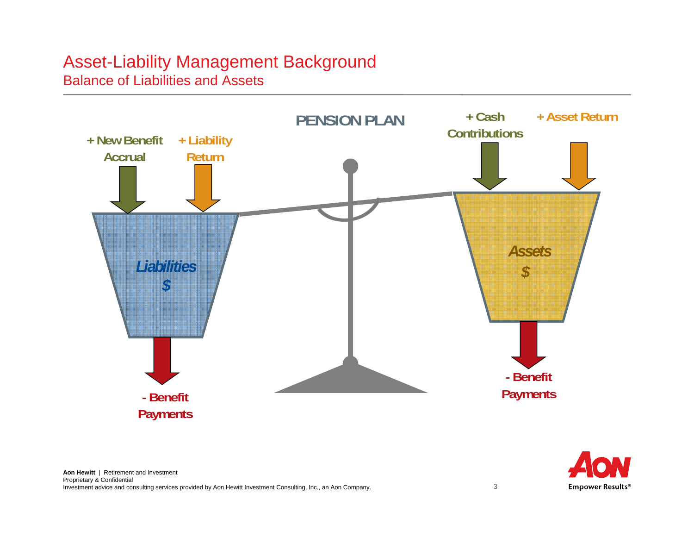### Asset-Liability Management Background Balance of Liabilities and Assets



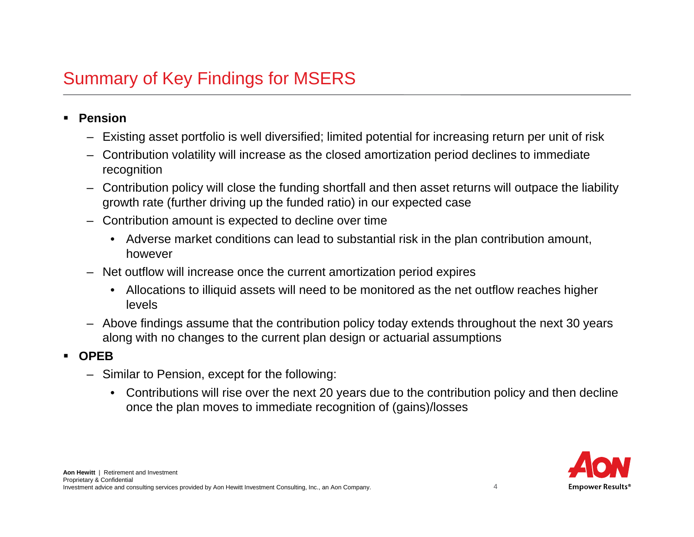## Summary of Key Findings for MSERS

- **Pension**
	- Existing asset portfolio is well diversified; limited potential for increasing return per unit of risk
	- Contribution volatility will increase as the closed amortization period declines to immediate recognition
	- Contribution policy will close the funding shortfall and then asset returns will outpace the liability growth rate (further driving up the funded ratio) in our expected case
	- Contribution amount is expected to decline over time
		- Adverse market conditions can lead to substantial risk in the plan contribution amount, however
	- Net outflow will increase once the current amortization period expires
		- Allocations to illiquid assets will need to be monitored as the net outflow reaches higher levels
	- Above findings assume that the contribution policy today extends throughout the next 30 years along with no changes to the current plan design or actuarial assumptions
- **OPEB**
	- Similar to Pension, except for the following:
		- Contributions will rise over the next 20 years due to the contribution policy and then decline once the plan moves to immediate recognition of (gains)/losses

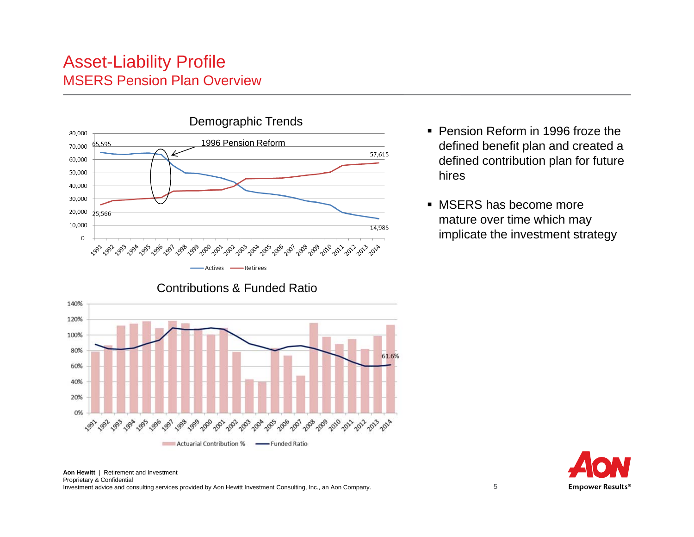## Asset-Liability Profile MSERS Pension Plan Overview





 MSERS has become more mature over time which may implicate the investment strategy



Contributions & Funded Ratio

**Aon Hewitt** | Retirement and Investment Proprietary & Confidential Investment advice and consulting services provided by Aon Hewitt Investment Consulting, Inc., an Aon Company. 5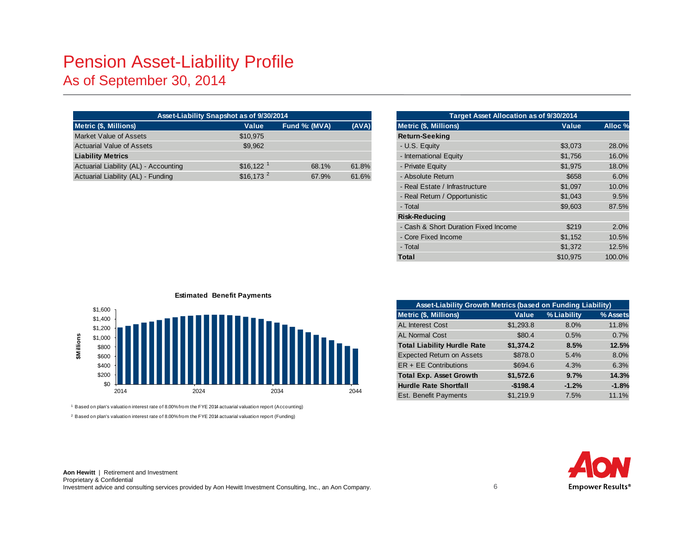## Pension Asset-Liability Profile As of September 30, 2014

|                                       | Asset-Liability Snapshot as of 9/30/2014 | Target Asset Allocation as of 9/30/2014 |       |                        |         |         |
|---------------------------------------|------------------------------------------|-----------------------------------------|-------|------------------------|---------|---------|
| Metric (\$, Millions)                 | <b>Value</b>                             | Fund %: (MVA)                           | (AVA) | Metric (\$, Millions)  | Value   | Alloc % |
| Market Value of Assets                | \$10.975                                 |                                         |       | <b>Return-Seeking</b>  |         |         |
| <b>Actuarial Value of Assets</b>      | \$9.962                                  |                                         |       | - U.S. Equity          | \$3,073 |         |
| <b>Liability Metrics</b>              |                                          |                                         |       | - International Equity | \$1.756 |         |
| Actuarial Liability (AL) - Accounting | \$16.122                                 | 68.1%                                   | 61.8% | - Private Equity       | \$1,975 |         |
| Actuarial Liability (AL) - Funding    | $$16.173$ <sup>2</sup>                   | 67.9%                                   | 61.6% | - Absolute Return      | \$658   |         |

| Target Asset Allocation as of 9/30/2014 |              |         |  |  |  |  |  |
|-----------------------------------------|--------------|---------|--|--|--|--|--|
| <b>Metric (\$, Millions)</b>            | <b>Value</b> | Alloc % |  |  |  |  |  |
| <b>Return-Seeking</b>                   |              |         |  |  |  |  |  |
| - U.S. Equity                           | \$3,073      | 28.0%   |  |  |  |  |  |
| - International Equity                  | \$1,756      | 16.0%   |  |  |  |  |  |
| - Private Equity                        | \$1,975      | 18.0%   |  |  |  |  |  |
| - Absolute Return                       | \$658        | 6.0%    |  |  |  |  |  |
| - Real Estate / Infrastructure          | \$1,097      | 10.0%   |  |  |  |  |  |
| - Real Return / Opportunistic           | \$1,043      | 9.5%    |  |  |  |  |  |
| - Total                                 | \$9,603      | 87.5%   |  |  |  |  |  |
| <b>Risk-Reducing</b>                    |              |         |  |  |  |  |  |
| - Cash & Short Duration Fixed Income    | \$219        | 2.0%    |  |  |  |  |  |
| - Core Fixed Income                     | \$1,152      | 10.5%   |  |  |  |  |  |
| - Total                                 | \$1,372      | 12.5%   |  |  |  |  |  |
| Total                                   | \$10,975     | 100.0%  |  |  |  |  |  |



1 Based on plan's valuation interest rate of 8.00% from the FYE 2014 actuarial valuation report (Accounting)

 $^2$  Based on plan's valuation interest rate of 8.00% from the FYE 2014 actuarial valuation report (Funding)

| Asset-Liability Growth Metrics (based on Funding Liability) |           |             |          |  |  |  |  |  |  |
|-------------------------------------------------------------|-----------|-------------|----------|--|--|--|--|--|--|
| Metric (\$, Millions)                                       | Value     | % Liability | % Assets |  |  |  |  |  |  |
| <b>AL Interest Cost</b>                                     | \$1,293.8 | 8.0%        | 11.8%    |  |  |  |  |  |  |
| <b>AL Normal Cost</b>                                       | \$80.4    | 0.5%        | 0.7%     |  |  |  |  |  |  |
| <b>Total Liability Hurdle Rate</b>                          | \$1,374.2 | 8.5%        | 12.5%    |  |  |  |  |  |  |
| <b>Expected Return on Assets</b>                            | \$878.0   | 5.4%        | 8.0%     |  |  |  |  |  |  |
| $ER + EE$ Contributions                                     | \$694.6   | 4.3%        | 6.3%     |  |  |  |  |  |  |
| <b>Total Exp. Asset Growth</b>                              | \$1,572.6 | 9.7%        | 14.3%    |  |  |  |  |  |  |
| <b>Hurdle Rate Shortfall</b>                                | $-$198.4$ | $-1.2%$     | $-1.8%$  |  |  |  |  |  |  |
| Est. Benefit Payments                                       | \$1.219.9 | 7.5%        | 11.1%    |  |  |  |  |  |  |

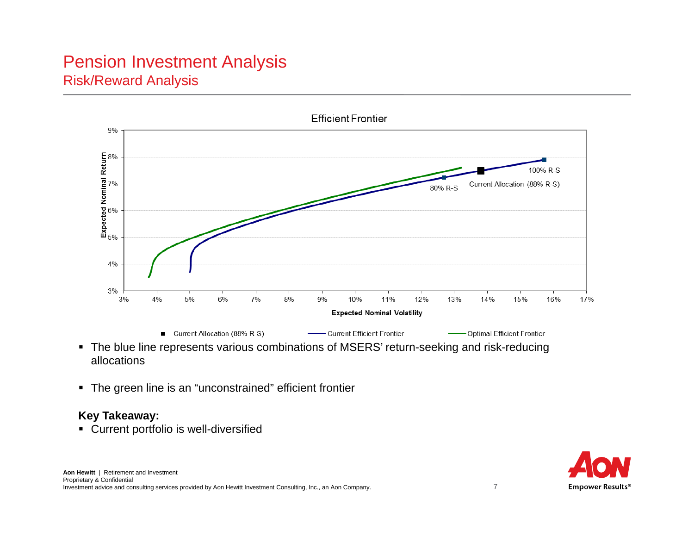## Pension Investment Analysis Risk/Reward Analysis



- The blue line represents various combinations of MSERS' return-seeking and risk-reducing allocations
- The green line is an "unconstrained" efficient frontier

#### **Key Takeaway:**

Current portfolio is well-diversified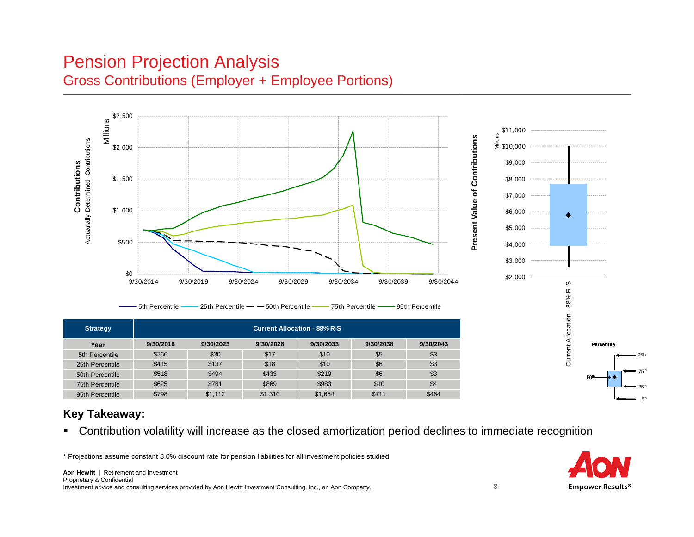## Pension Projection Analysis Gross Contributions (Employer + Employee Portions)



| <b>Strategy</b> |           | Current Allocation - 88% R-S $^{\prime}$ |           |           |           |           |  |  |  |  |
|-----------------|-----------|------------------------------------------|-----------|-----------|-----------|-----------|--|--|--|--|
| Year            | 9/30/2018 | 9/30/2023                                | 9/30/2028 | 9/30/2033 | 9/30/2038 | 9/30/2043 |  |  |  |  |
| 5th Percentile  | \$266     | \$30                                     | \$17      | \$10      | \$5       | \$3       |  |  |  |  |
| 25th Percentile | \$415     | \$137                                    | \$18      | \$10      | \$6       | \$3       |  |  |  |  |
| 50th Percentile | \$518     | \$494                                    | \$433     | \$219     | \$6       | \$3       |  |  |  |  |
| 75th Percentile | \$625     | \$781                                    | \$869     | \$983     | \$10      | \$4       |  |  |  |  |
| 95th Percentile | \$798     | \$1,112                                  | \$1,310   | \$1,654   | \$711     | \$464     |  |  |  |  |



#### **Key Takeaway:**

 $\blacksquare$ Contribution volatility will increase as the closed amortization period declines to immediate recognition

\* Projections assume constant 8.0% discount rate for pension liabilities for all investment policies studied

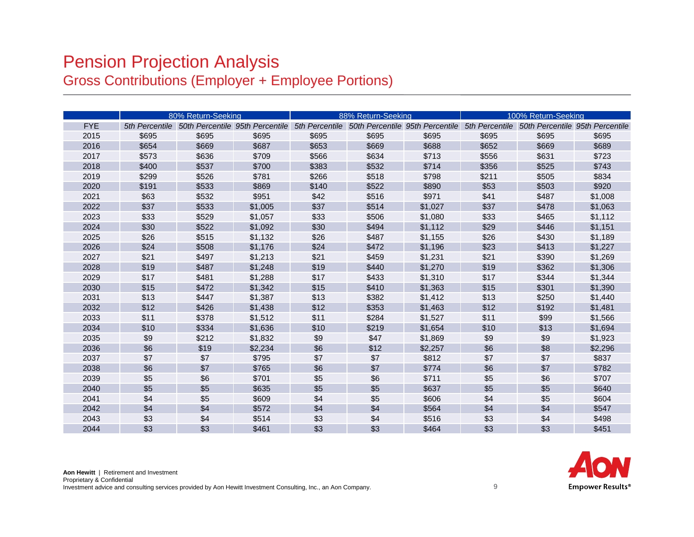## Pension Projection Analysis Gross Contributions (Employer + Employee Portions)

|            |       | 80% Return-Seeking                             |         | 88% Return-Seeking |       |                                                | 100% Return-Seeking |                                                |         |  |
|------------|-------|------------------------------------------------|---------|--------------------|-------|------------------------------------------------|---------------------|------------------------------------------------|---------|--|
| <b>FYE</b> |       | 5th Percentile 50th Percentile 95th Percentile |         |                    |       | 5th Percentile 50th Percentile 95th Percentile |                     | 5th Percentile 50th Percentile 95th Percentile |         |  |
| 2015       | \$695 | \$695                                          | \$695   | \$695              | \$695 | \$695                                          | \$695               | \$695                                          | \$695   |  |
| 2016       | \$654 | \$669                                          | \$687   | \$653              | \$669 | \$688                                          | \$652               | \$669                                          | \$689   |  |
| 2017       | \$573 | \$636                                          | \$709   | \$566              | \$634 | \$713                                          | \$556               | \$631                                          | \$723   |  |
| 2018       | \$400 | \$537                                          | \$700   | \$383              | \$532 | \$714                                          | \$356               | \$525                                          | \$743   |  |
| 2019       | \$299 | \$526                                          | \$781   | \$266              | \$518 | \$798                                          | \$211               | \$505                                          | \$834   |  |
| 2020       | \$191 | \$533                                          | \$869   | \$140              | \$522 | \$890                                          | \$53                | \$503                                          | \$920   |  |
| 2021       | \$63  | \$532                                          | \$951   | \$42               | \$516 | \$971                                          | \$41                | \$487                                          | \$1,008 |  |
| 2022       | \$37  | \$533                                          | \$1,005 | \$37               | \$514 | \$1,027                                        | \$37                | \$478                                          | \$1,063 |  |
| 2023       | \$33  | \$529                                          | \$1,057 | \$33               | \$506 | \$1,080                                        | \$33                | \$465                                          | \$1,112 |  |
| 2024       | \$30  | \$522                                          | \$1,092 | \$30               | \$494 | \$1,112                                        | \$29                | \$446                                          | \$1,151 |  |
| 2025       | \$26  | \$515                                          | \$1,132 | \$26               | \$487 | \$1,155                                        | \$26                | \$430                                          | \$1,189 |  |
| 2026       | \$24  | \$508                                          | \$1,176 | \$24               | \$472 | \$1,196                                        | \$23                | \$413                                          | \$1,227 |  |
| 2027       | \$21  | \$497                                          | \$1,213 | \$21               | \$459 | \$1,231                                        | \$21                | \$390                                          | \$1,269 |  |
| 2028       | \$19  | \$487                                          | \$1,248 | \$19               | \$440 | \$1,270                                        | \$19                | \$362                                          | \$1,306 |  |
| 2029       | \$17  | \$481                                          | \$1,288 | \$17               | \$433 | \$1,310                                        | \$17                | \$344                                          | \$1,344 |  |
| 2030       | \$15  | \$472                                          | \$1,342 | \$15               | \$410 | \$1,363                                        | \$15                | \$301                                          | \$1,390 |  |
| 2031       | \$13  | \$447                                          | \$1,387 | \$13               | \$382 | \$1,412                                        | \$13                | \$250                                          | \$1,440 |  |
| 2032       | \$12  | \$426                                          | \$1,438 | \$12               | \$353 | \$1,463                                        | \$12                | \$192                                          | \$1,481 |  |
| 2033       | \$11  | \$378                                          | \$1,512 | \$11               | \$284 | \$1,527                                        | \$11                | \$99                                           | \$1,566 |  |
| 2034       | \$10  | \$334                                          | \$1,636 | \$10               | \$219 | \$1,654                                        | \$10                | \$13                                           | \$1,694 |  |
| 2035       | \$9   | \$212                                          | \$1,832 | \$9                | \$47  | \$1,869                                        | \$9                 | \$9                                            | \$1,923 |  |
| 2036       | \$6   | \$19                                           | \$2,234 | \$6                | \$12  | \$2,257                                        | \$6                 | \$8                                            | \$2,296 |  |
| 2037       | \$7   | \$7                                            | \$795   | \$7                | \$7   | \$812                                          | \$7                 | \$7                                            | \$837   |  |
| 2038       | \$6   | \$7                                            | \$765   | \$6                | \$7   | \$774                                          | \$6                 | \$7                                            | \$782   |  |
| 2039       | \$5   | \$6                                            | \$701   | \$5                | \$6   | \$711                                          | \$5                 | \$6                                            | \$707   |  |
| 2040       | \$5   | \$5                                            | \$635   | \$5                | \$5   | \$637                                          | \$5                 | \$5                                            | \$640   |  |
| 2041       | \$4   | \$5                                            | \$609   | \$4                | \$5   | \$606                                          | \$4                 | \$5                                            | \$604   |  |
| 2042       | \$4   | \$4                                            | \$572   | \$4                | \$4   | \$564                                          | \$4                 | \$4                                            | \$547   |  |
| 2043       | \$3   | \$4                                            | \$514   | \$3                | \$4   | \$516                                          | \$3                 | \$4                                            | \$498   |  |
| 2044       | \$3   | \$3                                            | \$461   | \$3                | \$3   | \$464                                          | \$3                 | \$3                                            | \$451   |  |

**Empower Results®** 

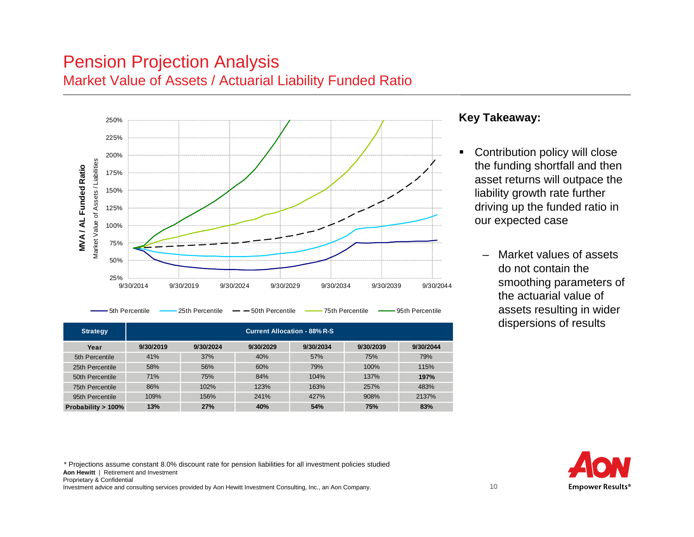## Pension Projection Analysis Market Value of Assets / Actuarial Liability Funded Ratio



5th Percentile

25th Percentile  $-$  50th Percentile  $-$ 75th Percentile  $-$ 95th Percentile

| <b>Strategy</b>        | <b>Current Allocation - 88% R-S</b> |           |           |           |           |           |  |  |  |
|------------------------|-------------------------------------|-----------|-----------|-----------|-----------|-----------|--|--|--|
| Year                   | 9/30/2019                           | 9/30/2024 | 9/30/2029 | 9/30/2034 | 9/30/2039 | 9/30/2044 |  |  |  |
| 5th Percentile         | 41%                                 | 37%       | 40%       | 57%       | 75%       | 79%       |  |  |  |
| 25th Percentile        | 58%                                 | 56%       | 60%       | 79%       | 100%      | 115%      |  |  |  |
| 50th Percentile        | 71%                                 | 75%       | 84%       | 104%      | 137%      | 197%      |  |  |  |
| <b>75th Percentile</b> | 86%                                 | 102%      | 123%      | 163%      | 257%      | 483%      |  |  |  |
| 95th Percentile        | 109%                                | 156%      | 241%      | 427%      | 908%      | 2137%     |  |  |  |
| Probability > 100%     | 13%                                 | 27%       | 40%       | 54%       | 75%       | 83%       |  |  |  |

#### **Key Takeaway:**

- n Contribution policy will close the funding shortfall and then asset returns will outpace the liability growth rate further driving up the funded ratio in our expected case
	- – Market values of assets do not contain the smoothing parameters of the actuarial value of assets resulting in wider dispersions of results



\* Projections assume constant 8.0% discount rate for pension liabilities for all investment policies studied

**Aon Hewitt** | Retirement and Investment

Proprietary & Confidential

Investment advice and consulting services provided by Aon Hewitt Investment Consulting, Inc., an Aon Company. 10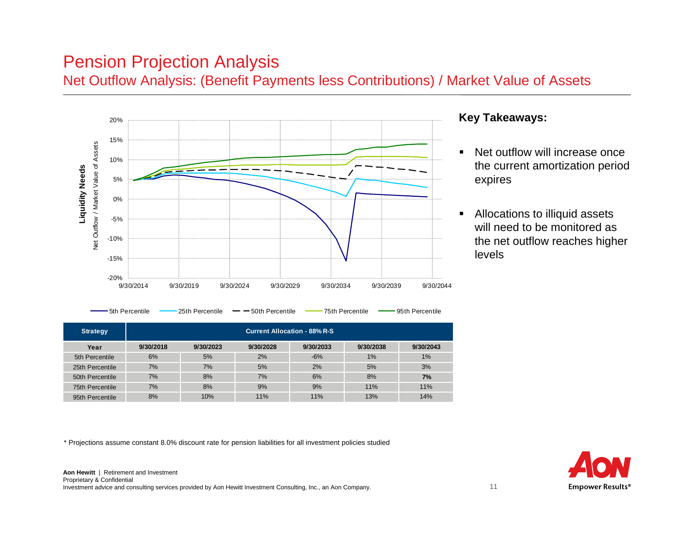## Pension Projection Analysis

5th Percentile

Net Outflow Analysis: (Benefit Payments less Contributions) / Market Value of Assets

25th Percentile  $-$  50th Percentile  $-$ 75th Percentile  $-$ 95th Percentile



#### **Key Takeaways:**

- $\blacksquare$  Net outflow will increase once the current amortization period expires
- $\blacksquare$  Allocations to illiquid assets will need to be monitored as the net outflow reaches higher levels

| <b>Strategy</b> | <b>Current Allocation - 88% R-S</b> |           |           |           |           |           |  |  |  |
|-----------------|-------------------------------------|-----------|-----------|-----------|-----------|-----------|--|--|--|
| Year            | 9/30/2018                           | 9/30/2023 | 9/30/2028 | 9/30/2033 | 9/30/2038 | 9/30/2043 |  |  |  |
| 5th Percentile  | 6%                                  | 5%        | 2%        | $-6%$     | 1%        | 1%        |  |  |  |
| 25th Percentile | 7%                                  | 7%        | 5%        | 2%        | 5%        | 3%        |  |  |  |
| 50th Percentile | 7%                                  | 8%        | 7%        | 6%        | 8%        | 7%        |  |  |  |
| 75th Percentile | 7%                                  | 8%        | 9%        | 9%        | 11%       | 11%       |  |  |  |
| 95th Percentile | 8%                                  | 10%       | 11%       | 11%       | 13%       | 14%       |  |  |  |

\* Projections assume constant 8.0% discount rate for pension liabilities for all investment policies studied

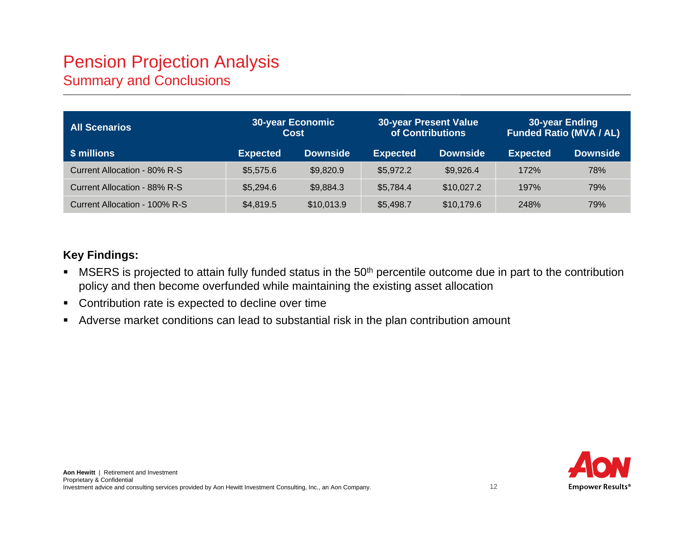## Pension Projection Analysis

Summary and Conclusions

| <b>All Scenarios</b>          | <b>30-year Economic</b><br><b>Cost</b> |                 |                 | <b>30-year Present Value</b><br>of Contributions | 30-year Ending<br><b>Funded Ratio (MVA / AL)</b> |                 |  |
|-------------------------------|----------------------------------------|-----------------|-----------------|--------------------------------------------------|--------------------------------------------------|-----------------|--|
| \$ millions                   | <b>Expected</b>                        | <b>Downside</b> | <b>Expected</b> | <b>Downside</b>                                  | <b>Expected</b>                                  | <b>Downside</b> |  |
| Current Allocation - 80% R-S  | \$5,575.6                              | \$9,820.9       | \$5,972.2       | \$9,926.4                                        | 172%                                             | 78%             |  |
| Current Allocation - 88% R-S  | \$5,294.6                              | \$9,884.3       | \$5,784.4       | \$10,027.2                                       | 197%                                             | 79%             |  |
| Current Allocation - 100% R-S | \$4,819.5                              | \$10,013.9      | \$5,498.7       | \$10,179.6                                       | 248%                                             | 79%             |  |

#### **Key Findings:**

- **MSERS** is projected to attain fully funded status in the 50<sup>th</sup> percentile outcome due in part to the contribution policy and then become overfunded while maintaining the existing asset allocation
- **Contribution rate is expected to decline over time**
- Adverse market conditions can lead to substantial risk in the plan contribution amount

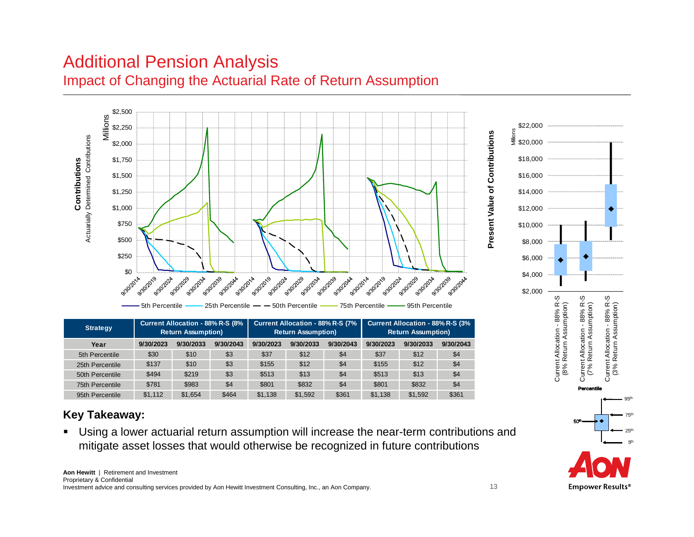## Additional Pension Analysis Impact of Changing the Actuarial Rate of Return Assumption



| <b>Strategy</b>        |           | <b>Return Assumption)</b> | Current Allocation - 88% R-S (8% Current Allocation - 88% R-S (7% |           | <b>Return Assumption)</b> |           |           | Current Allocation - 88% R-S (3%<br><b>Return Assumption)</b> |           |
|------------------------|-----------|---------------------------|-------------------------------------------------------------------|-----------|---------------------------|-----------|-----------|---------------------------------------------------------------|-----------|
| Year                   | 9/30/2023 | 9/30/2033                 | 9/30/2043                                                         | 9/30/2023 | 9/30/2033                 | 9/30/2043 | 9/30/2023 | 9/30/2033                                                     | 9/30/2043 |
| 5th Percentile         | \$30      | \$10                      | \$3                                                               | \$37      | \$12                      | \$4       | \$37      | \$12                                                          | \$4       |
| 25th Percentile        | \$137     | \$10                      | \$3                                                               | \$155     | \$12                      | \$4       | \$155     | \$12                                                          | \$4       |
| 50th Percentile        | \$494     | \$219                     | \$3                                                               | \$513     | \$13                      | \$4       | \$513     | \$13                                                          | \$4       |
| <b>75th Percentile</b> | \$781     | \$983                     | \$4                                                               | \$801     | \$832                     | \$4       | \$801     | \$832                                                         | \$4       |
| 95th Percentile        | \$1,112   | \$1,654                   | \$464                                                             | \$1.138   | \$1.592                   | \$361     | \$1.138   | \$1,592                                                       | \$361     |

#### **Key Takeaway:**

 Using a lower actuarial return assumption will increase the near-term contributions and mitigate asset losses that would otherwise be recognized in future contributions



**Empower Results®** 

**Present Value of Contributions**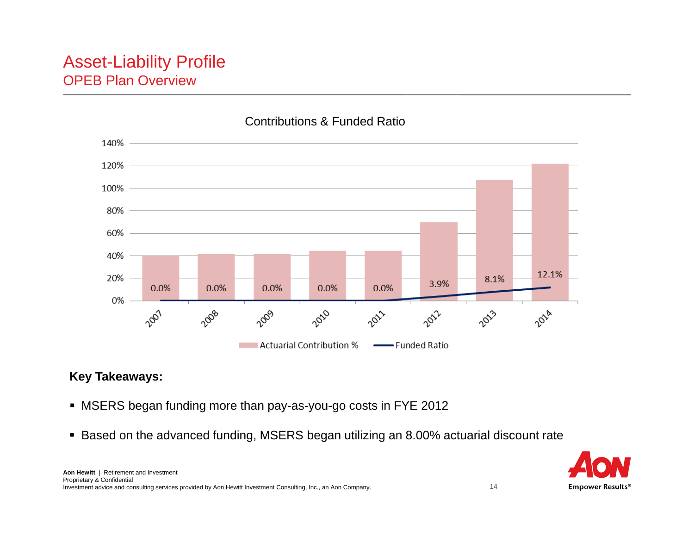## Asset-Liability Profile OPEB Plan Overview



#### Contributions & Funded Ratio

#### **Key Takeaways:**

- MSERS began funding more than pay-as-you-go costs in FYE 2012
- Based on the advanced funding, MSERS began utilizing an 8.00% actuarial discount rate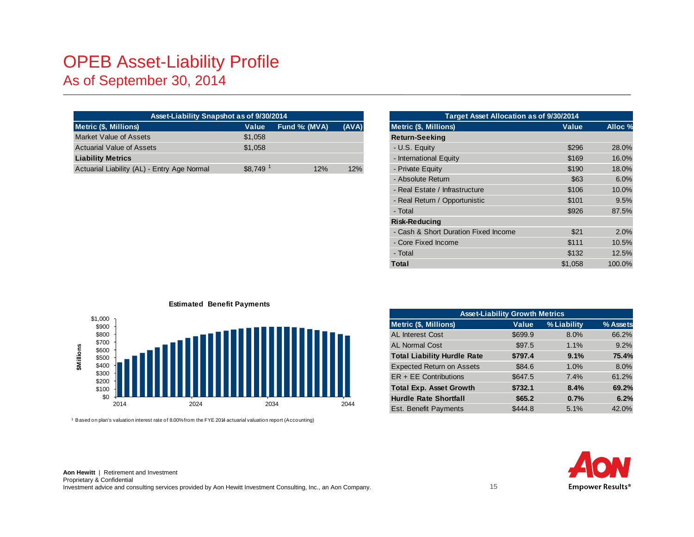## OPEB Asset-Liability Profile As of September 30, 2014

| Asset-Liability Snapshot as of 9/30/2014    |         |               | Target Asset Allocation as of 9/30/2014 |                        |       |         |
|---------------------------------------------|---------|---------------|-----------------------------------------|------------------------|-------|---------|
| <b>Metric (\$, Millions)</b>                | Value   | Fund %: (MVA) | (AVA)                                   | Metric (\$, Millions)  | Value | Alloc % |
| Market Value of Assets                      | \$1,058 |               |                                         | <b>Return-Seeking</b>  |       |         |
| <b>Actuarial Value of Assets</b>            | \$1,058 |               |                                         | - U.S. Equity          | \$296 | 28.0%   |
| <b>Liability Metrics</b>                    |         |               |                                         | - International Equity | \$169 | 16.0%   |
| Actuarial Liability (AL) - Entry Age Normal | \$8.749 | 12%           | 12%                                     | - Private Equity       | \$190 | 18.0%   |

| <b>Target Asset Allocation as of 9/30/2014</b> |              |         |  |  |  |  |  |  |
|------------------------------------------------|--------------|---------|--|--|--|--|--|--|
| <b>Metric (\$, Millions)</b>                   | <b>Value</b> | Alloc % |  |  |  |  |  |  |
| <b>Return-Seeking</b>                          |              |         |  |  |  |  |  |  |
| - U.S. Equity                                  | \$296        | 28.0%   |  |  |  |  |  |  |
| - International Equity                         | \$169        | 16.0%   |  |  |  |  |  |  |
| - Private Equity                               | \$190        | 18.0%   |  |  |  |  |  |  |
| - Absolute Return                              | \$63         | 6.0%    |  |  |  |  |  |  |
| - Real Estate / Infrastructure                 | \$106        | 10.0%   |  |  |  |  |  |  |
| - Real Return / Opportunistic                  | \$101        | 9.5%    |  |  |  |  |  |  |
| - Total                                        | \$926        | 87.5%   |  |  |  |  |  |  |
| <b>Risk-Reducing</b>                           |              |         |  |  |  |  |  |  |
| - Cash & Short Duration Fixed Income           | \$21         | 2.0%    |  |  |  |  |  |  |
| - Core Fixed Income                            | \$111        | 10.5%   |  |  |  |  |  |  |
| - Total                                        | \$132        | 12.5%   |  |  |  |  |  |  |
| Total                                          | \$1,058      | 100.0%  |  |  |  |  |  |  |



1 Based on plan's valuation interest rate of 8.00% from the FYE 2014 actuarial valuation report (Accounting)

| <b>Asset-Liability Growth Metrics</b> |         |             |          |  |  |  |  |  |  |
|---------------------------------------|---------|-------------|----------|--|--|--|--|--|--|
| <b>Metric (\$, Millions)</b>          | Value   | % Liability | % Assets |  |  |  |  |  |  |
| <b>AL Interest Cost</b>               | \$699.9 | 8.0%        | 66.2%    |  |  |  |  |  |  |
| <b>AL Normal Cost</b>                 | \$97.5  | 1.1%        | 9.2%     |  |  |  |  |  |  |
| <b>Total Liability Hurdle Rate</b>    | \$797.4 | 9.1%        | 75.4%    |  |  |  |  |  |  |
| <b>Expected Return on Assets</b>      | \$84.6  | 1.0%        | 8.0%     |  |  |  |  |  |  |
| $ER + EE$ Contributions               | \$647.5 | 7.4%        | 61.2%    |  |  |  |  |  |  |
| <b>Total Exp. Asset Growth</b>        | \$732.1 | 8.4%        | 69.2%    |  |  |  |  |  |  |
| <b>Hurdle Rate Shortfall</b>          | \$65.2  | 0.7%        | 6.2%     |  |  |  |  |  |  |
| Est. Benefit Payments                 | \$444.8 | 5.1%        | 42.0%    |  |  |  |  |  |  |

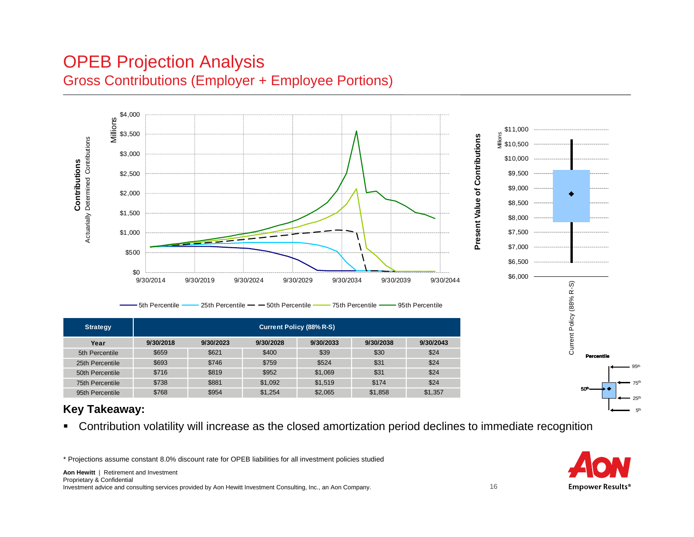## OPEB Projection Analysis Gross Contributions (Employer + Employee Portions)





| Strategy        |           |           |           | <b>Current Policy (88% R-S)</b> |           |           |
|-----------------|-----------|-----------|-----------|---------------------------------|-----------|-----------|
| Year            | 9/30/2018 | 9/30/2023 | 9/30/2028 | 9/30/2033                       | 9/30/2038 | 9/30/2043 |
| 5th Percentile  | \$659     | \$621     | \$400     | \$39                            | \$30      | \$24      |
| 25th Percentile | \$693     | \$746     | \$759     | \$524                           | \$31      | \$24      |
| 50th Percentile | \$716     | \$819     | \$952     | \$1,069                         | \$31      | \$24      |
| 75th Percentile | \$738     | \$881     | \$1,092   | \$1,519                         | \$174     | \$24      |
| 95th Percentile | \$768     | \$954     | \$1,254   | \$2,065                         | \$1,858   | \$1,357   |

# **9/30/2033 9/30/2038 9/30/2043 9/30/203** Current Policy (88% R-S) 50th **Percentile**

#### **Key Takeaway:**

Contribution volatility will increase as the closed amortization period declines to immediate recognition

\* Projections assume constant 8.0% discount rate for OPEB liabilities for all investment policies studied



95th 75th 25th 5th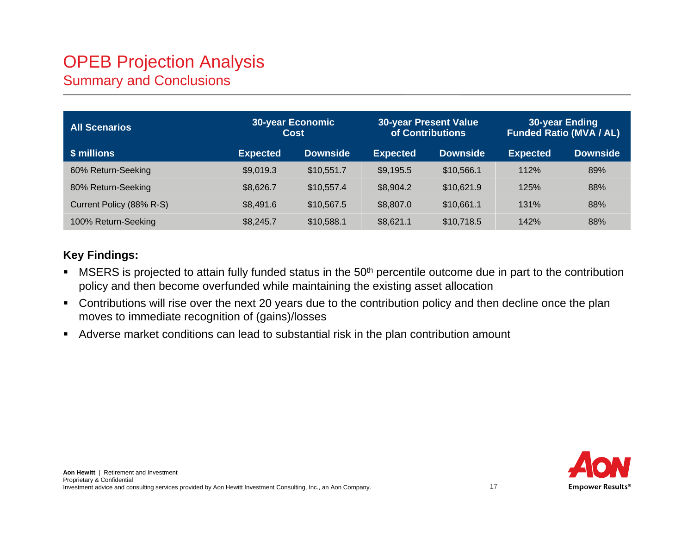## OPEB Projection Analysis

Summary and Conclusions

| <b>All Scenarios</b>     |                 | <b>30-year Economic</b><br><b>Cost</b> |                 | <b>30-year Present Value</b><br>of Contributions | 30-year Ending<br><b>Funded Ratio (MVA / AL)</b> |                 |  |  |  |  |
|--------------------------|-----------------|----------------------------------------|-----------------|--------------------------------------------------|--------------------------------------------------|-----------------|--|--|--|--|
| \$ millions              | <b>Expected</b> | <b>Downside</b>                        | <b>Expected</b> | <b>Downside</b>                                  | <b>Expected</b>                                  | <b>Downside</b> |  |  |  |  |
| 60% Return-Seeking       | \$9,019.3       | \$10.551.7                             | \$9.195.5       | \$10,566.1                                       | 112%                                             | 89%             |  |  |  |  |
| 80% Return-Seeking       | \$8,626.7       | \$10,557.4                             | \$8,904.2       | \$10,621.9                                       | 125%                                             | 88%             |  |  |  |  |
| Current Policy (88% R-S) | \$8,491.6       | \$10,567.5                             | \$8,807.0       | \$10,661.1                                       | 131%                                             | 88%             |  |  |  |  |
| 100% Return-Seeking      | \$8,245.7       | \$10,588.1                             | \$8,621.1       | \$10,718.5                                       | 142%                                             | 88%             |  |  |  |  |

#### **Key Findings:**

- **MSERS** is projected to attain fully funded status in the 50<sup>th</sup> percentile outcome due in part to the contribution policy and then become overfunded while maintaining the existing asset allocation
- Contributions will rise over the next 20 years due to the contribution policy and then decline once the plan moves to immediate recognition of (gains)/losses
- Adverse market conditions can lead to substantial risk in the plan contribution amount

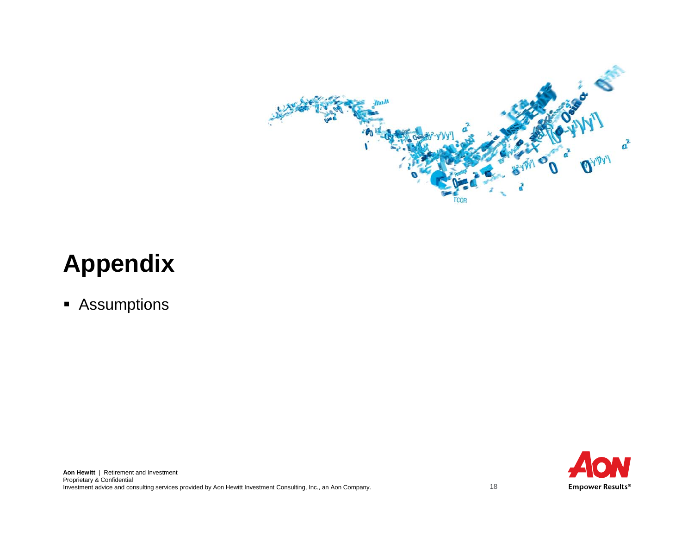

# **Appendix**

■ Assumptions

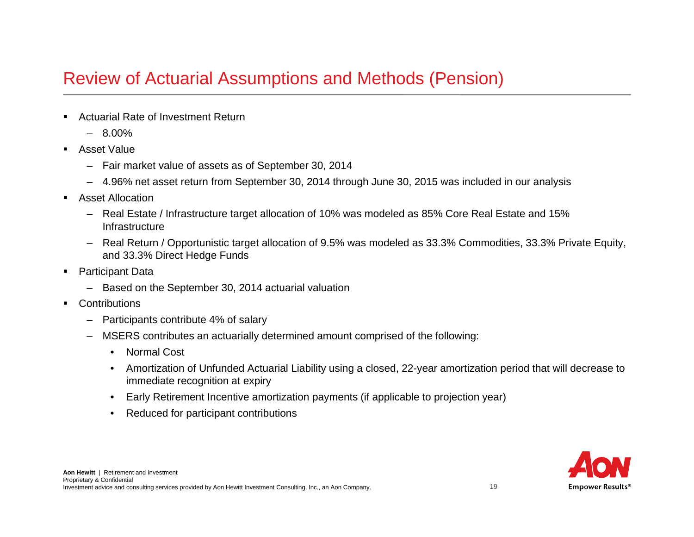## Review of Actuarial Assumptions and Methods (Pension)

- Actuarial Rate of Investment Return
	- 8.00%
- Asset Value
	- Fair market value of assets as of September 30, 2014
	- 4.96% net asset return from September 30, 2014 through June 30, 2015 was included in our analysis
- Asset Allocation
	- Real Estate / Infrastructure target allocation of 10% was modeled as 85% Core Real Estate and 15% **Infrastructure**
	- Real Return / Opportunistic target allocation of 9.5% was modeled as 33.3% Commodities, 33.3% Private Equity, and 33.3% Direct Hedge Funds
- Participant Data
	- Based on the September 30, 2014 actuarial valuation
- Г **Contributions** 
	- Participants contribute 4% of salary
	- MSERS contributes an actuarially determined amount comprised of the following:
		- Normal Cost
		- • Amortization of Unfunded Actuarial Liability using a closed, 22-year amortization period that will decrease to immediate recognition at expiry
		- •Early Retirement Incentive amortization payments (if applicable to projection year)
		- •Reduced for participant contributions

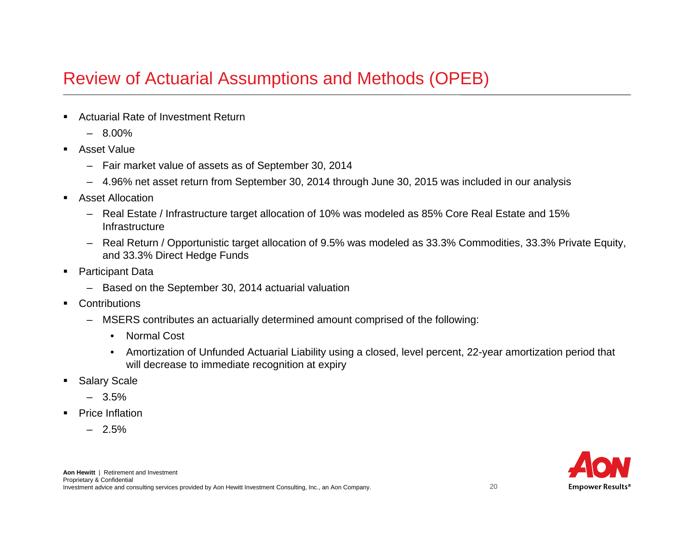## Review of Actuarial Assumptions and Methods (OPEB)

- Actuarial Rate of Investment Return
	- 8.00%
- Asset Value
	- Fair market value of assets as of September 30, 2014
	- 4.96% net asset return from September 30, 2014 through June 30, 2015 was included in our analysis
- Asset Allocation
	- Real Estate / Infrastructure target allocation of 10% was modeled as 85% Core Real Estate and 15% **Infrastructure**
	- Real Return / Opportunistic target allocation of 9.5% was modeled as 33.3% Commodities, 33.3% Private Equity, and 33.3% Direct Hedge Funds
- Participant Data
	- Based on the September 30, 2014 actuarial valuation
- Contributions
	- MSERS contributes an actuarially determined amount comprised of the following:
		- Normal Cost
		- Amortization of Unfunded Actuarial Liability using a closed, level percent, 22-year amortization period that will decrease to immediate recognition at expiry
- Salary Scale
	- 3.5%
- Price Inflation
	- 2.5%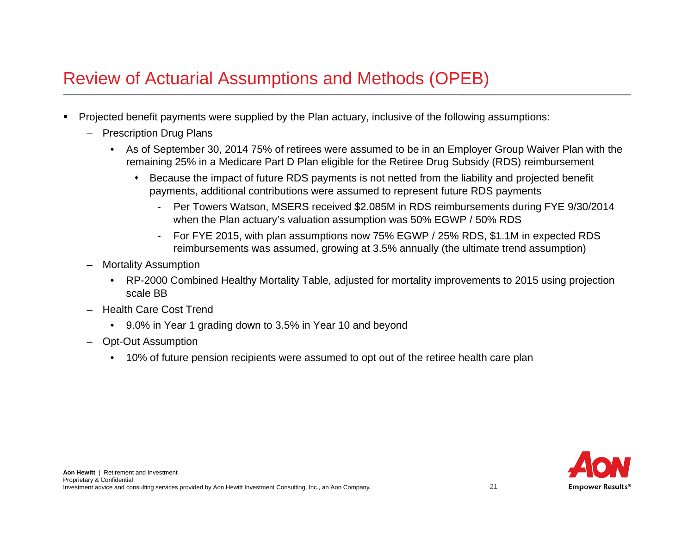## Review of Actuarial Assumptions and Methods (OPEB)

- Г Projected benefit payments were supplied by the Plan actuary, inclusive of the following assumptions:
	- Prescription Drug Plans
		- As of September 30, 2014 75% of retirees were assumed to be in an Employer Group Waiver Plan with the remaining 25% in a Medicare Part D Plan eligible for the Retiree Drug Subsidy (RDS) reimbursement
			- Because the impact of future RDS payments is not netted from the liability and projected benefit payments, additional contributions were assumed to represent future RDS payments
				- Per Towers Watson, MSERS received \$2.085M in RDS reimbursements during FYE 9/30/2014 when the Plan actuary's valuation assumption was 50% EGWP / 50% RDS
				- - For FYE 2015, with plan assumptions now 75% EGWP / 25% RDS, \$1.1M in expected RDS reimbursements was assumed, growing at 3.5% annually (the ultimate trend assumption)
	- Mortality Assumption
		- RP-2000 Combined Healthy Mortality Table, adjusted for mortality improvements to 2015 using projection scale BB
	- Health Care Cost Trend
		- 9.0% in Year 1 grading down to 3.5% in Year 10 and beyond
	- Opt-Out Assumption
		- 10% of future pension recipients were assumed to opt out of the retiree health care plan

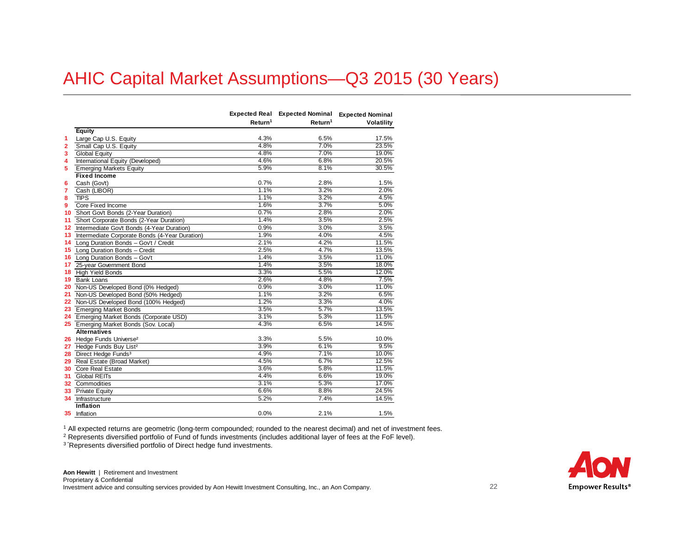## AHIC Capital Market Assumptions—Q3 2015 (30 Years)

|                 |                                                   |                     | Expected Real Expected Nominal Expected Nominal |            |
|-----------------|---------------------------------------------------|---------------------|-------------------------------------------------|------------|
|                 |                                                   | Return <sup>1</sup> | Return <sup>1</sup>                             | Volatility |
|                 | <b>Equity</b>                                     |                     |                                                 |            |
| 1               | Large Cap U.S. Equity                             | 4.3%                | 6.5%                                            | 17.5%      |
| $\overline{2}$  | Small Cap U.S. Equity                             | 4.8%                | 7.0%                                            | 23.5%      |
| 3               | <b>Global Equity</b>                              | 4.8%                | 7.0%                                            | 19.0%      |
| 4               | International Equity (Developed)                  | 4.6%                | 6.8%                                            | 20.5%      |
| 5               | <b>Emerging Markets Equity</b>                    | 5.9%                | 8.1%                                            | 30.5%      |
|                 | <b>Fixed Income</b>                               |                     |                                                 |            |
| 6               | Cash (Gov't)                                      | 0.7%                | 2.8%                                            | 1.5%       |
| $\overline{7}$  | Cash (LIBOR)                                      | 1.1%                | 3.2%                                            | 2.0%       |
| 8               | <b>TIPS</b>                                       | 1.1%                | 3.2%                                            | 4.5%       |
| 9               | Core Fixed Income                                 | 1.6%                | 3.7%                                            | 5.0%       |
| 10              | Short Gov't Bonds (2-Year Duration)               | 0.7%                | 2.8%                                            | 2.0%       |
| 11              | Short Corporate Bonds (2-Year Duration)           | 1.4%                | 3.5%                                            | 2.5%       |
|                 | 12 Intermediate Govt Bonds (4-Year Duration)      | 0.9%                | 3.0%                                            | 3.5%       |
|                 | 13 Intermediate Corporate Bonds (4-Year Duration) | 1.9%                | 4.0%                                            | 4.5%       |
| 14              | Long Duration Bonds - Gov't / Credit              | 2.1%                | 4.2%                                            | 11.5%      |
| 15              | Long Duration Bonds - Credit                      | 2.5%                | 4.7%                                            | 13.5%      |
|                 | 16 Long Duration Bonds - Gov't                    | 1.4%                | 3.5%                                            | 11.0%      |
| 17 <sup>2</sup> | 25-year Government Bond                           | 1.4%                | 3.5%                                            | 18.0%      |
| 18              | <b>High Yield Bonds</b>                           | 3.3%                | 5.5%                                            | 12.0%      |
|                 | 19 Bank Loans                                     | 2.6%                | 4.8%                                            | 7.5%       |
|                 | 20 Non-US Developed Bond (0% Hedged)              | 0.9%                | 3.0%                                            | 11.0%      |
| 21              | Non-US Developed Bond (50% Hedged)                | 1.1%                | 3.2%                                            | 6.5%       |
|                 | 22 Non-US Developed Bond (100% Hedged)            | 1.2%                | 3.3%                                            | 4.0%       |
|                 | 23 Emerging Market Bonds                          | 3.5%                | 5.7%                                            | 13.5%      |
|                 | 24 Emerging Market Bonds (Corporate USD)          | 3.1%                | 5.3%                                            | 11.5%      |
|                 | 25 Emerging Market Bonds (Sov. Local)             | 4.3%                | 6.5%                                            | 14.5%      |
|                 | <b>Alternatives</b>                               |                     |                                                 |            |
|                 | 26 Hedge Funds Universe <sup>2</sup>              | 3.3%                | 5.5%                                            | 10.0%      |
|                 | 27 Hedge Funds Buy List <sup>2</sup>              | 3.9%                | 6.1%                                            | 9.5%       |
|                 | 28 Direct Hedge Funds <sup>3</sup>                | 4.9%                | 7.1%                                            | $10.0\%$   |
|                 | 29 Real Estate (Broad Market)                     | 4.5%                | 6.7%                                            | 12.5%      |
|                 | <b>30</b> Core Real Estate                        | 3.6%                | 5.8%                                            | 11.5%      |
| 31              | Global REITs                                      | 4.4%                | 6.6%                                            | 19.0%      |
|                 | 32 Commodities                                    | 3.1%                | 5.3%                                            | 17.0%      |
|                 | 33 Private Equity                                 | 6.6%                | 8.8%                                            | 24.5%      |
|                 | 34 Infrastructure                                 | 5.2%                | 7.4%                                            | 14.5%      |
|                 | <b>Inflation</b>                                  |                     |                                                 |            |
|                 | 35 Inflation                                      | 0.0%                | 2.1%                                            | 1.5%       |

1 All expected returns are geometric (long-term compounded; rounded to the nearest decimal) and net of investment fees.

 $^2$  Represents diversified portfolio of Fund of funds investments (includes additional layer of fees at the FoF level).

<sup>3</sup> 'Represents diversified portfolio of Direct hedge fund investments.

**Aon Hewitt** | Retirement and Investment

Proprietary & Confidential

Investment advice and consulting services provided by Aon Hewitt Investment Consulting, Inc., an Aon Company. 22

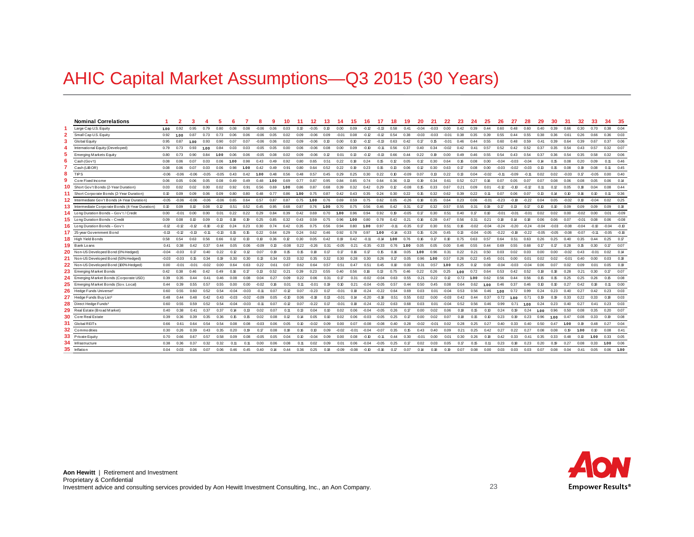## AHIC Capital Market Assumptions—Q3 2015 (30 Years)

|     | <b>Nominal Correlations</b>                    |         |         | з       |         |         |         |         | 8       |      | 10      | -11      | -12     | -13  | -14     | -15     | -16     | -17     | 18      | 19      | 20      | -21     | 22      | 23   | 24      | -25     | 26      | -27     | 28      | -29     | 30.     | -31     | 32.     | 33      | 34          |         |
|-----|------------------------------------------------|---------|---------|---------|---------|---------|---------|---------|---------|------|---------|----------|---------|------|---------|---------|---------|---------|---------|---------|---------|---------|---------|------|---------|---------|---------|---------|---------|---------|---------|---------|---------|---------|-------------|---------|
|     | Large Cap U.S. Equity                          | 1.00    | 0.92    | 0.95    | 0.79    | 0.80    | 0.08    | 0.08    | $-0.06$ | 0.06 | 0.03    | 0.10     | $-0.05$ | 0.10 | 0.00    | 0.09    | $-0.12$ | $-0.13$ | 0.58    | 0.41    | $-0.04$ | $-0.03$ | 0.00    | 0.42 | 0.39    | 0.44    | 0.60    | 0.48    | 0.60    | 0.40    | 0.39    | 0.66    | 0.30    | 0.70    | 0.38        | 0.04    |
|     | Small Cap U.S. Equity                          | 0.92    | 1.00    | 0.87    | 0.73    | 0.73    | 0.06    | 0.06    | $-0.06$ | 0.05 | 0.02    | 0.09     | $-0.06$ | 0.09 | $-0.01$ | 0.08    | $-0.12$ | $-0.12$ | 0.54    | 0.38    | $-0.03$ | $-0.03$ | $-0.01$ | 0.38 | 0.35    | 0.39    | 0.55    | 0.44    | 0.55    | 0.38    | 0.36    | 0.61    | 0.26    | 0.66    | 0.36        | 0.03    |
|     | Global Equity                                  | 0.95    | 0.87    | 1.00    | 0.93    | 0.90    | 0.07    | 0.07    | $-0.06$ | 0.06 | 0.02    | 0.09     | $-0.06$ | 0.10 | 0.00    | 0.10    | $-0.12$ | $-0.13$ | 0.63    | 0.42    | 0.17    | 0.15    | $-0.01$ | 0.46 | 0.44    | 0.55    | 0.60    | 0.48    | 0.59    | 0.41    | 0.39    | 0.64    | 0.39    | 0.67    | 0.37        | 0.06    |
|     | International Equity (Developed)               | 0.79    | 0.73    | 0.93    | 1.00    | 0.84    | 0.03    | 0.03    | $-0.05$ | 0.05 | 0.00    | 0.06     | $-0.06$ | 0.08 | 0.00    | 0.09    | $-0.10$ | $-0.11$ | 0.56    | 0.37    | 0.40    | 0.34    | $-0.02$ | 0.42 | 0.41    | 0.57    | 0.52    | 0.42    | 0.52    | 0.37    | 0.35    | 0.54    | 0.43    | 0.57    | 0.32        | 0.07    |
|     | <b>Emerging Markets Equity</b>                 | 0.80    | 0.73    | 0.90    | 0.84    | 1.00    | 0.06    | 0.06    | $-0.05$ | 0.08 | 0.02    | 0.09     | $-0.06$ | 0.12 | 0.01    | 0.13    | $-0.12$ | $-0.13$ | 0.66    | 0.44    | 0.22    | 0.19    | 0.00    | 0.49 | 0.46    | 0.55    | 0.54    | 0.43    | 0.54    | 0.37    | 0.36    | 0.54    | 0.35    | 0.58    | 0.32        | 0.06    |
|     | Cash (Gov't)                                   | 0.08    | 0.06    | 0.07    | 0.03    | 0.06    | 1.00    | 0.98    | 0.43    | 0.49 | 0.92    | 0.80     | 0.65    | 0.51 | 0.22    | 0.18    | 0.24    | 0.15    | 0.12    | 0.05    | 0.12    | 0.30    | 0.64    | 0.16 | 0.08    | 0.00    | $-0.04$ | $-0.03$ | $-0.04$ | 0.14    | 0.15    | 0.08    | 0.20    | 0.09    | 0.11        | 0.46    |
|     | Cash (LIBOR)                                   | 0.08    | 0.06    | 0.07    | 0.03    | 0.06    | 0.98    | 1.00    | 0.42    | 0.49 | 0.91    | 0.80     | 0.64    | 0.52 | 0.22    | 0.19    | 0.23    | 0.15    | 0.13    | 0.06    | 0.12    | 0.30    | 0.63    | 0.17 | 0.08    | 0.00    | $-0.03$ | $-0.02$ | $-0.03$ | 0.13    | 0.15    | 0.08    | 0.19    | 0.08    | 0.11        | 0.45    |
|     | <b>TIPS</b>                                    | $-0.06$ | $-0.06$ | $-0.06$ | $-0.05$ | $-0.05$ | 0.43    | 0.42    | 1.00    | 0.48 | 0.56    | 0.48     | 0.57    | 0.45 | 0.29    | 0.25    | 0.30    | 0.22    | 0.10    | $-0.09$ | 0.07    | 0.13    | 0.22    | 0.13 | 0.04    | $-0.02$ | $-0.11$ | $-0.09$ | $-0.11$ | 0.02    | 0.02    | $-0.03$ | 0.17    | $-0.05$ | 0.00        | 0.40    |
|     | Core Fixed Income                              | 0.06    | 0.05    | 0.06    | 0.05    | 0.08    | 0.49    | 0.49    | 0.48    | 1.00 | 0.69    | 0.77     | 0.87    | 0.95 | 0.84    | 0.85    | 0.74    | 0.64    | 0.36    | 0.13    | 0.19    | 0.34    | 0.61    | 0.52 | 0.27    | 0.16    | 0.07    | 0.05    | 0.07    | 0.07    | 0.08    | 0.06    | 0.08    | 0.05    | 0.06        | 0.14    |
|     | Short Gov't Bonds (2-Year Duration)            | 0.03    | 0.02    | 0.02    | 0.00    | 0.02    | 0.92    | 0.91    | 0.56    | 0.69 | 1.00    | 0.86     | 0.87    | 0.68 | 0.39    | 0.32    | 0.42    | 0.29    | 0.12    | $-0.08$ | 0.15    | 0.33    | 0.67    | 0.21 | 0.09    | 0.01    | $-0.12$ | $-0.10$ | $-0.12$ | 0.11    | 0.12    | 0.05    | 0.18    | 0.04    | 0.08        | 0.44    |
|     | Short Corporate Bonds (2-Year Duration)        | 0.10    | 0.09    | 0.09    | 0.06    | 0.09    | 0.80    | 0.80    | 0.48    | 0.77 | 0.86    | 1.00     | 0.75    | 0.87 | 0.42    | 0.43    | 0.35    | 0.24    | 0.30    | 0.22    | 0.15    | 0.32    | 0.62    | 0.39 | 0.22    | 0.11    | 0.07    | 0.06    | 0.07    | 0.13    | 0.14    | 0.10    | 0.16    | 0.10    | 0.11        | 0.36    |
| 12  | Intermediate Gov't Bonds (4-Year Duration)     | $-0.05$ | $-0.06$ | $-0.06$ | $-0.06$ | $-0.06$ | 0.65    | 0.64    | 0.57    | 0.87 | 0.87    | 0.75     | 1.00    | 0.76 | 0.69    | 0.59    | 0.75    | 0.62    | 0.05    | $-0.26$ | 0.18    | 0.35    | 0.64    | 0.23 | 0.06    | $-0.01$ | $-0.23$ | $-0.18$ | $-0.22$ | 0.04    | 0.05    | $-0.02$ | 0.10    | $-0.04$ | $0.02$ 0.25 |         |
| 13. | Intermediate Corporate Bonds (4-Year Duration) | 0.10    | 0.09    | 0.10    | 0.08    | 0.12    | 0.51    | 0.52    | 0.45    | 0.95 | 0.68    | 0.87     | 0.76    | 1.00 | 0.70    | 0.75    | 0.56    | 0.46    | 0.42    | 0.31    | 0.17    | 0.32    | 0.57    | 0.55 | 0.31    | 0.19    | 0.17    | 0.13    | 0.17    | 0.10    | 0.10    | 0.09    | 0.09    | 0.09    | 0.09        | 0.18    |
| 14  | Long Duration Bonds - Gov't / Credit           | 0.00    | $-0.01$ | 0.00    | 0.00    | 0.01    | 0.22    | 0.22    | 0.29    | 0.84 | 0.39    | 0.42     | 0.69    | 0.70 | 1.00    | 0.96    | 0.94    | 0.92    | 0.19    | $-0.05$ | 0.17    | 0.30    | 0.51    | 0.40 | 0.17    | 0.10    | $-0.01$ | $-0.01$ | $-0.01$ | 0.02    | 0.02    | 0.00    | $-0.02$ | 0.00    | 0.01        | $-0.09$ |
| 15  | Long Duration Bonds - Credit                   | 0.09    | 0.08    | 0.10    | 0.09    | 0.13    | 0.18    | 0.19    | 0.25    | 0.85 | 0.32    | 0.43     | 0.59    | 0.75 | 0.96    | 1.00    | 0.80    | 0.78    | 0.42    | 0.21    | 0.16    | 0.28    | 0.47    | 0.56 | 0.31    | 0.21    | 0.18    | 0.14    | 0.18    | 0.06    | 0.06    | 0.07    | $-0.01$ | 0.08    | 0.06        | $-0.08$ |
| 16. | Long Duration Bonds - Gov't                    | $-0.12$ | $-0.12$ | $-0.12$ | $-0.10$ | $-0.12$ | 0.24    | 0.23    | 0.30    | 0.74 | 0.42    | 0.35     | 0.75    | 0.56 | 0.94    | 0.80    | 1.00    | 0.97    | $-0.11$ | $-0.35$ | 0.17    | 0.30    | 0.51    | 0.16 | $-0.02$ | $-0.04$ | $-0.24$ | $-0.20$ | $-0.24$ | $-0.04$ | $-0.03$ | $-0.08$ | $-0.04$ | $-0.10$ | $-0.04$     | $-0.10$ |
| -17 | 25-year Government Bond                        | $-0.13$ | $-0.12$ | $-0.13$ | $-0.11$ | $-0.13$ | 0.15    | 0.15    | 0.22    | 0.64 | 0.29    | 0.24     | 0.62    | 0.46 | 0.92    | 0.78    | 0.97    | 1.00    | $-0.14$ | $-0.33$ | 0.15    | 0.26    | 0.45    | 0.13 | $-0.04$ | $-0.05$ | $-0.22$ | $-0.18$ | $-0.22$ | $-0.05$ | $-0.05$ | $-0.08$ | $-0.07$ | $-0.11$ | $-0.05$     | $-0.16$ |
| 18  | High Yield Bonds                               | 0.58    | 0.54    | 0.63    | 0.56    | 0.66    | 0.12    | 0.13    | 0.10    | 0.36 | 0.12    | 0.30     | 0.05    | 0.42 | 0.19    | 0.42    | $-0.11$ | $-0.14$ | 1.00    | 0.76    | 0.16    | 0.17    | 0.10    | 0.75 | 0.63    | 0.57    | 0.64    | 0.51    | 0.63    | 0.26    | 0.25    | 0.40    | 0.35    | 0.44    | 0.25        | 0.17    |
| 19  | Bank Loans                                     | 0.41    | 0.38    | 0.42    | 0.37    | 0.44    | 0.05    | 0.06    | $-0.09$ | 0.13 | $-0.08$ | 0.22     | $-0.26$ | 0.31 | $-0.05$ | 0.21    | $-0.35$ | $-0.33$ | 0.76    | 1.00    | 0.05    | 0.05    | 0.00    | 0.46 | 0.55    | 0.44    | 0.69    | 0.55    | 0.68    | 0.17    | 0.17    | 0.28    | 0.15    | 0.30    | 0.17        | 0.07    |
| 20  | Non-US Developed Bond (0% Hedged)              | $-0.04$ | $-0.03$ | 0.17    | 0.40    | 0.22    | 0.12    | 0.12    | 0.07    | 0.19 | 0.15    | 0.15     | 0.18    | 0.17 | 0.17    | 0.16    | 0.17    | 0.15    | 0.16    | 0.05    | 1.00    | 0.96    | 0.31    | 0.22 | 0.21    | 0.50    | 0.03    | 0.02    | 0.03    | 0.00    | 0.00    | $-0.02$ | 0.43    | $-0.01$ | 0.02        | 0.14    |
| 21  | Non-US Developed Bond (50% Hedged)             | $-0.03$ | $-0.03$ | 0.15    | 0.34    | 0.19    | 0.30    | 0.30    | 0.13    | 0.34 | 0.33    | 0.32     | 0.35    | 0.32 | 0.30    | 0.28    | 0.30    | 0.26    | 0.17    | 0.05    | 0.96    | 1.00    | 0.57    | 0.26 | 0.22    | 0.45    | 0.01    | 0.00    | 0.01    | 0.02    | 0.02    | $-0.01$ | 0.40    | 0.00    | 0.03        | 0.18    |
| 22  | Non-US Developed Bond (100% Hedged)            | 0.00    | $-0.01$ | $-0.01$ | $-0.02$ | 0.00    | 0.64    | 0.63    | 0.22    | 0.61 | 0.67    | 0.62     | 0.64    | 0.57 | 0.51    | 0.47    | 0.51    | 0.45    | 0.10    | 0.00    | 0.31    | 0.57    | 1.00    | 0.25 | 0.12    | 0.08    | $-0.04$ | $-0.03$ | $-0.04$ | 0.06    | 0.07    | 0.02    | 0.09    | 0.01    | 0.05        | 0.19    |
| 23  | Emerging Market Bonds                          | 0.42    | 0.38    | 0.46    | 0.42    | 0.49    | 0.16    | 0.17    | 0.13    | 0.52 | 0.21    | 0.39     | 0.23    | 0.55 | 0.40    | 0.56    | 0.16    | 0.13    | 0.75    | 0.46    | 0.22    | 0.26    | 0.25    | 1.00 | 0.72    | 0.64    | 0.53    | 0.42    | 0.52    | 0.18    | 0.18    | 0.28    | 0.21    | 0.30    | 0.17        | 0.07    |
| 24  | Emerging Market Bonds (Corporate USD)          | 0.39    | 0.35    | 0.44    | 0.41    | 0.46    | 0.08    | 0.08    | 0.04    | 0.27 | 0.09    | 0.22     | 0.06    | 0.31 | 0.17    | 0.31    | $-0.02$ | $-0.04$ | 0.63    | 0.55    | 0.21    | 0.22    | 0.12    | 0.72 | 1.00    | 0.62    | 0.56    | 0.44    | 0.56    | 0.15    | 0.15    | 0.25    | 0.25    | 0.26    | 0.15        | 0.08    |
| 25  | Emerging Market Bonds (Sov. Local)             | 0.44    | 0.39    | 0.55    | 0.57    | 0.55    | 0.00    | 0.00    | $-0.02$ | 0.16 | 0.01    | 0.11     | $-0.01$ | 0.19 | 0.10    | 0.21    | $-0.04$ | $-0.05$ | 0.57    | 0.44    | 0.50    | 0.45    | 0.08    | 0.64 | 0.62    | 1.00    | 0.46    | 0.37    | 0.46    | 0.10    | 0.10    | 0.27    | 0.42    | 0.18    | 0.11        | 0.00    |
| 26  | Hedge Funds Universe <sup>2</sup>              | 0.60    | 0.55    | 0.60    | 0.52    | 0.54    | $-0.04$ | $-0.03$ | $-0.11$ | 0.07 | $-0.12$ | 0.07     | $-0.23$ | 0.17 | $-0.01$ | 0.18    | $-0.24$ | $-0.22$ | 0.64    | 0.69    | 0.03    | 0.01    | $-0.04$ | 0.53 | 0.56    | 0.46    | 1.00    | 0.72    | 0.99    | 0.24    | 0.23    | 0.40    | 0.27    | 0.42    | 0.23        | 0.03    |
| 27  | Hedge Funds Buy List <sup>2</sup>              | 0.48    | 0.44    | 0.48    | 0.42    | 0.43    | $-0.03$ | $-0.02$ | $-0.09$ | 0.05 | $-0.10$ | 0.06     | $-0.18$ | 0.13 | $-0.01$ | 0.14    | $-0.20$ | $-0.18$ | 0.51    | 0.55    | 0.02    | 0.00    | $-0.03$ | 0.42 | 0.44    | 0.37    | 0.72    | 1.00    | 0.71    | 0.19    | 0.19    | 0.33    | 0.22    | 0.33    | 0.18        | 0.03    |
| 28  | Direct Hedge Funds <sup>3</sup>                | 0.60    | 0.55    | 0.59    | 0.52    | 0.54    | $-0.04$ | $-0.03$ | $-0.11$ | 0.07 | $-0.12$ | 0.07     | $-0.22$ | 0.17 | $-0.01$ | 0.18    | $-0.24$ | $-0.22$ | 0.63    | 0.68    | 0.03    | 0.01    | $-0.04$ | 0.52 | 0.56    | 0.46    | 0.99    | 0.71    | 1.00    | 0.24    | 0.23    | 0.40    | 0.27    | 0.41    | 0.23        | 0.03    |
| 29  | Real Estate (Broad Market)                     | 0.40    | 0.38    | 0.41    | 0.37    | 0.37    | 0.14    | 0.13    | 0.02    | 0.07 | 0.11    | 0.13     | 0.04    | 0.10 | 0.02    | 0.06    | $-0.04$ | $-0.05$ | 0.26    | 0.17    | 0.00    | 0.02    | 0.06    | 0.18 | 0.15    | 0.10    | 0.24    | 0.19    | 0.24    | 1.00    | 0.96    | 0.50    | 0.08    | 0.35    | 0.20        | 0.07    |
| 30  | Core Real Estate                               | 0.39    | 0.36    | 0.39    | 0.35    | 0.36    | 0.15    | 0.15    | 0.02    | 0.08 | 0.12    | 0.14     | 0.05    | 0.10 | 0.02    | 0.06    | $-0.03$ | $-0.05$ | 0.25    | 0.17    | 0.00    | 0.02    | 0.07    | 0.18 | 0.15    | 0.10    | 0.23    | 0.19    | 0.23    | 0.96    | 1.00    | 0.47    | 0.08    | 0.33    | 0.19        | 0.08    |
| 31  | Global REITs                                   | 0.66    | 0.61    | 0.64    | 0.54    | 0.54    | 0.08    | 0.08    | $-0.03$ | 0.06 | 0.05    | $0.10 -$ | $-0.02$ | 0.09 | 0.00    | 0.07    | $-0.08$ | $-0.08$ | 0.40    | 0.28    | $-0.02$ | $-0.01$ | 0.02    | 0.28 | 0.25    | 0.27    | 0.40    | 0.33    | 0.40    | 0.50    | 0.47    | 1.00    | 0.19    | 0.48    | 0.27        | 0.04    |
| 32  | Commodities                                    | 0.30    | 0.26    | 0.39    | 0.43    | 0.35    | 0.20    | 0.19    | 0.17    | 0.08 | 0.18    | 0.16     | 0.10    | 0.09 | $-0.02$ | $-0.01$ | $-0.04$ | $-0.07$ | 0.35    | 0.15    | 0.43    | 0.40    | 0.09    | 0.21 | 0.25    | 0.42    | 0.27    | 0.22    | 0.27    | 0.08    | 0.08    | 0.19    | 1.00    | 0.10    | 0.08        | 0.41    |
| 33  | Private Equity                                 | 0.70    | 0.66    | 0.67    | 0.57    | 0.58    | 0.09    | 0.08    | $-0.05$ | 0.05 | 0.04    | 0.10     | $-0.04$ | 0.09 | 0.00    | 0.08    | $-0.10$ | $-0.11$ | 0.44    | 0.30    | $-0.01$ | 0.00    | 0.01    | 0.30 | 0.26    | 0.18    | 0.42    | 0.33    | 0.41    | 0.35    | 0.33    | 0.48    | 0.10    | 1.00    | 0.33        | 0.05    |
| 34  | Infrastructure                                 | 0.38    | 0.36    | 0.37    | 0.32    | 0.32    | 0.11    | 0.11    | 0.00    | 0.06 | 0.08    | 0.11     | 0.02    | 0.09 | 0.01    | 0.06    | $-0.04$ | $-0.05$ | 0.25    | 0.17    | 0.02    | 0.03    | 0.05    | 0.17 | 0.15    | 0.11    | 0.23    | 0.18    | 0.23    | 0.20    | 0.19    | 0.27    | 0.08    | 0.33    | 1.00        | 0.06    |
|     | 35 Inflation                                   | 0.04    | 0.03    | 0.06    | 0.07    | 0.06    | 0.46    | 0.45    | 0.40    | 0.14 | 0.44    | 0.36     | 0.25    | 0.18 | $-0.09$ | $-0.08$ | $-0.10$ | $-0.16$ | 0.17    | 0.07    | 0.14    | 0.18    | 0.19    | 0.07 | 0.08    | 0.00    | 0.03    | 0.03    | 0.03    | 0.07    | 0.08    | 0.04    | 0.41    | 0.05    | 0.06        | 1.00    |

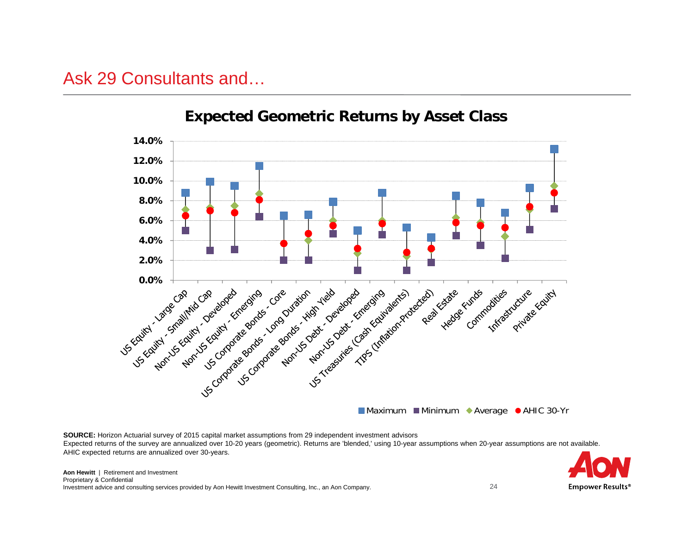## Ask 29 Consultants and…



#### **Expected Geometric Returns by Asset Class**

Maximum Minimum Average AHIC 30-Yr

**SOURCE:** Horizon Actuarial survey of 2015 capital market assumptions from 29 independent investment advisors Expected returns of the survey are annualized over 10-20 years (geometric). Returns are 'blended,' using 10-year assumptions when 20-year assumptions are not available. AHIC expected returns are annualized over 30-years.

**Aon Hewitt** | Retirement and Investment Proprietary & Confidential Investment advice and consulting services provided by Aon Hewitt Investment Consulting, Inc., an Aon Company. 24 **Empower Results<sup>®</sup>**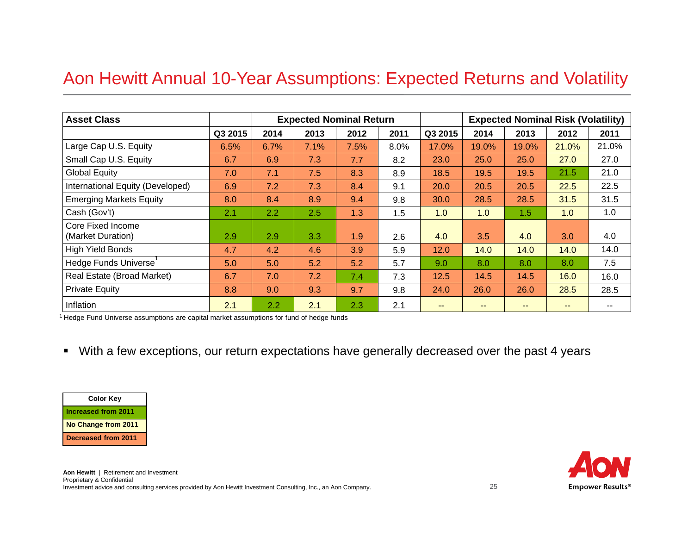## Aon Hewitt Annual 10-Year Assumptions: Expected Returns and Volatility

| <b>Asset Class</b>                            |         | <b>Expected Nominal Return</b> |      | <b>Expected Nominal Risk (Volatility)</b> |      |         |                        |                              |       |       |
|-----------------------------------------------|---------|--------------------------------|------|-------------------------------------------|------|---------|------------------------|------------------------------|-------|-------|
|                                               | Q3 2015 | 2014                           | 2013 | 2012                                      | 2011 | Q3 2015 | 2014                   | 2013                         | 2012  | 2011  |
| Large Cap U.S. Equity                         | 6.5%    | 6.7%                           | 7.1% | 7.5%                                      | 8.0% | 17.0%   | 19.0%                  | 19.0%                        | 21.0% | 21.0% |
| Small Cap U.S. Equity                         | 6.7     | 6.9                            | 7.3  | 7.7                                       | 8.2  | 23.0    | 25.0                   | 25.0                         | 27.0  | 27.0  |
| <b>Global Equity</b>                          | 7.0     | 7.1                            | 7.5  | 8.3                                       | 8.9  | 18.5    | 19.5                   | 19.5                         | 21.5  | 21.0  |
| International Equity (Developed)              | 6.9     | 7.2                            | 7.3  | 8.4                                       | 9.1  | 20.0    | 20.5                   | 20.5                         | 22.5  | 22.5  |
| <b>Emerging Markets Equity</b>                | 8.0     | 8.4                            | 8.9  | 9.4                                       | 9.8  | 30.0    | 28.5                   | 28.5                         | 31.5  | 31.5  |
| Cash (Gov't)                                  | 2.1     | 2.2                            | 2.5  | 1.3                                       | 1.5  | 1.0     | 1.0                    | 1.5                          | 1.0   | 1.0   |
| <b>Core Fixed Income</b><br>(Market Duration) | 2.9     | 2.9                            | 3.3  | 1.9                                       | 2.6  | 4.0     | 3.5                    | 4.0                          | 3.0   | 4.0   |
| <b>High Yield Bonds</b>                       | 4.7     | 4.2                            | 4.6  | 3.9                                       | 5.9  | 12.0    | 14.0                   | 14.0                         | 14.0  | 14.0  |
| Hedge Funds Universe                          | 5.0     | 5.0                            | 5.2  | 5.2                                       | 5.7  | 9.0     | 8.0                    | 8.0                          | 8.0   | 7.5   |
| Real Estate (Broad Market)                    | 6.7     | 7.0                            | 7.2  | 7.4                                       | 7.3  | 12.5    | 14.5                   | 14.5                         | 16.0  | 16.0  |
| <b>Private Equity</b>                         | 8.8     | 9.0                            | 9.3  | 9.7                                       | 9.8  | 24.0    | 26.0                   | 26.0                         | 28.5  | 28.5  |
| Inflation                                     | 2.1     | 2.2                            | 2.1  | 2.3                                       | 2.1  | $- -$   | $\qquad \qquad \cdots$ | $\qquad \qquad \blacksquare$ | --    | --    |

<sup>1</sup> Hedge Fund Universe assumptions are capital market assumptions for fund of hedge funds

With a few exceptions, our return expectations have generally decreased over the past 4 years

| <b>Color Key</b>           |
|----------------------------|
| <b>Increased from 2011</b> |
| No Change from 2011        |
| <b>Decreased from 2011</b> |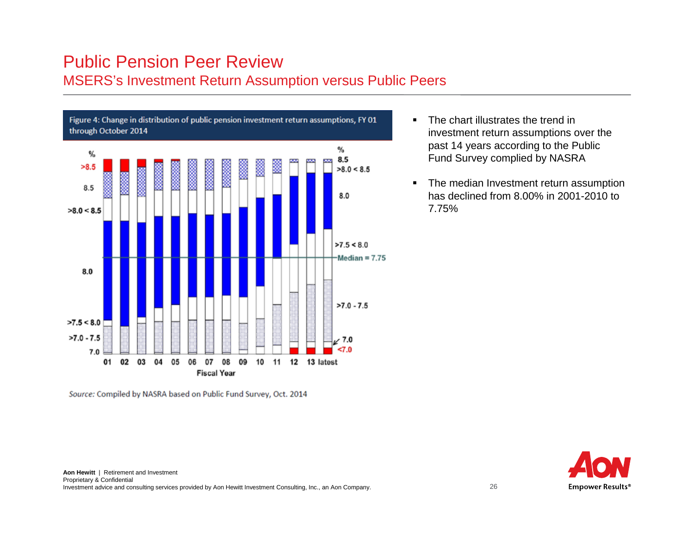## Public Pension Peer Review MSERS's Investment Return Assumption versus Public Peers



Source: Compiled by NASRA based on Public Fund Survey, Oct. 2014

- $\blacksquare$  The chart illustrates the trend in investment return assumptions over the past 14 years according to the Public Fund Survey complied by NASRA
- $\blacksquare$  The median Investment return assumption has declined from 8.00% in 2001-2010 to 7.75%

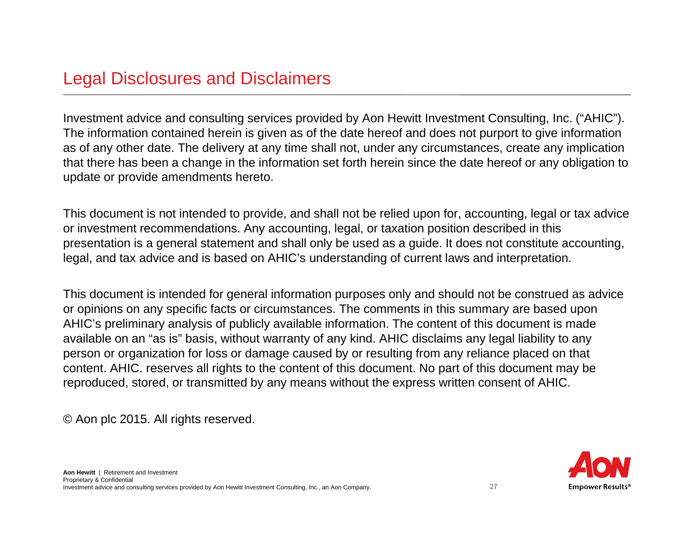## Legal Disclosures and Disclaimers

Investment advice and consulting services provided by Aon Hewitt Investment Consulting, Inc. ("AHIC"). The information contained herein is given as of the date hereof and does not purport to give information as of any other date. The delivery at any time shall not, under any circumstances, create any implication that there has been a change in the information set forth herein since the date hereof or any obligation to update or provide amendments hereto.

This document is not intended to provide, and shall not be relied upon for, accounting, legal or tax advice or investment recommendations. Any accounting, legal, or taxation position described in this presentation is a general statement and shall only be used as a guide. It does not constitute accounting, legal, and tax advice and is based on AHIC's understanding of current laws and interpretation.

This document is intended for general information purposes only and should not be construed as advice or opinions on any specific facts or circumstances. The comments in this summary are based upon AHIC's preliminary analysis of publicly available information. The content of this document is made available on an "as is" basis, without warranty of any kind. AHIC disclaims any legal liability to any person or organization for loss or damage caused by or resulting from any reliance placed on that content. AHIC. reserves all rights to the content of this document. No part of this document may be reproduced, stored, or transmitted by any means without the express written consent of AHIC.

© Aon plc 2015. All rights reserved.